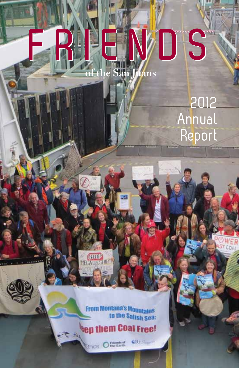# **FRIENDS FRIENDS of the San Juans**

2012 Annual Report

From Montana's Mountains to the Salish Sea:

 $302$ 

 $\mathcal{L}_{\mathcal{A}}$ 

iy.

**Nep them Coal Free!** 

**Ethics** Office Earth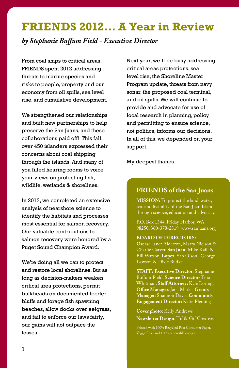## **FRIENDS 2012… A Year in Review**

*by Stephanie Buffum Field - Executive Director*

From coal ships to critical areas, FRIENDS spent 2012 addressing threats to marine species and risks to people, property and our economy from oil spills, sea level rise, and cumulative development.

We strengthened our relationships and built new partnerships to help preserve the San Juans, and these collaborations paid off! This fall, over 450 islanders expressed their concerns about coal shipping through the islands. And many of you filled hearing rooms to voice your views on protecting fish, wildlife, wetlands & shorelines.

In 2012, we completed an extensive analysis of nearshore science to identify the habitats and processes most essential for salmon recovery. Our valuable contributions to salmon recovery were honored by a Puget Sound Champion Award.

We're doing all we can to protect and restore local shorelines. But as long as decision-makers weaken critical area protections, permit bulkheads on documented feeder bluffs and forage fish spawning beaches, allow docks over eelgrass, and fail to enforce our laws fairly, our gains will not outpace the losses.

Next year, we'll be busy addressing critical areas protections, sea level rise, the Shoreline Master Program update, threats from navy sonar, the proposed coal terminal, and oil spills. We will continue to provide and advocate for use of local research in planning, policy and permitting to ensure science, not politics, informs our decisions. In all of this, we depended on your support.

My deepest thanks.

#### **FRIENDS of the San Juans**

**MISSION:** To protect the land, water, sea, and livability of the San Juan Islands through science, education and advocacy.

P.O. Box 1344, Friday Harbor, WA 98250, 360-378-2319 www.sanjuans.org

**BOARD OF DIRECTORS:**

**Orcas**: Janet Alderton, Marta Nielson & Charlie Carver. **San Juan**: Mike Kaill & Bill Watson. **Lopez**: San Olson, George Lawson & Dixie Budke

**STAFF: Executive Director***:* Stephanie Buffum Field, **Science Director***:* Tina Whitman, **Staff Attorney:** Kyle Loring, **Office Manager***:* Jana Marks, **Grants Manager***:* Shannon Davis, **Community Engagement Director:** Katie Fleming

**Cover photo:** Kelly Andrews **Newsletter Design**: Tif & Gif Creative.

Printed with 100% Recycled Post Consumer Paper, Veggie Inks and 100% renewable energy.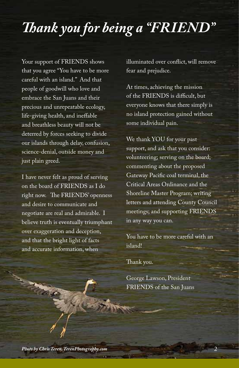# *Thank you for being a "FRIEND"*

Your support of FRIENDS shows that you agree "You have to be more careful with an island." And that people of goodwill who love and embrace the San Juans and their precious and unrepeatable ecology, life-giving health, and ineffable and breathless beauty will not be deterred by forces seeking to divide our islands through delay, confusion, science-denial, outside money and just plain greed.

I have never felt as proud of serving on the board of FRIENDS as I do right now. The FRIENDS' openness and desire to communicate and negotiate are real and admirable. I believe truth is eventually triumphant over exaggeration and deception, and that the bright light of facts and accurate information, when

illuminated over conflict, will remove fear and prejudice.

At times, achieving the mission of the FRIENDS is difficult, but everyone knows that there simply is no island protection gained without some individual pain.

We thank YOU for your past support, and ask that you consider: volunteering; serving on the board; commenting about the proposed Gateway Pacific coal terminal, the Critical Areas Ordinance and the Shoreline Master Program; writing letters and attending County Council meetings; and supporting FRIENDS in any way you can.

You have to be more careful with an island!

Thank you.

George Lawson, President FRIENDS of the San Juans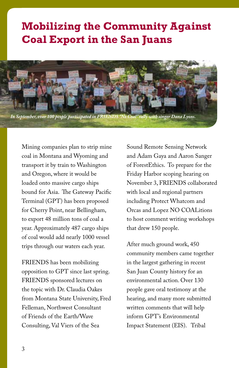## **Mobilizing the Community Against Coal Export in the San Juans**



Mining companies plan to strip mine coal in Montana and Wyoming and transport it by train to Washington and Oregon, where it would be loaded onto massive cargo ships bound for Asia. The Gateway Pacific Terminal (GPT) has been proposed for Cherry Point, near Bellingham, to export 48 million tons of coal a year. Approximately 487 cargo ships of coal would add nearly 1000 vessel trips through our waters each year.

FRIENDS has been mobilizing opposition to GPT since last spring. FRIENDS sponsored lectures on the topic with Dr. Claudia Oakes from Montana State University, Fred Felleman, Northwest Consultant of Friends of the Earth/Wave Consulting, Val Viers of the Sea

Sound Remote Sensing Network and Adam Gaya and Aaron Sanger of ForestEthics. To prepare for the Friday Harbor scoping hearing on November 3, FRIENDS collaborated with local and regional partners including Protect Whatcom and Orcas and Lopez NO COALitions to host comment writing workshops that drew 150 people.

After much ground work, 450 community members came together in the largest gathering in recent San Juan County history for an environmental action. Over 130 people gave oral testimony at the hearing, and many more submitted written comments that will help inform GPT's Environmental Impact Statement (EIS). Tribal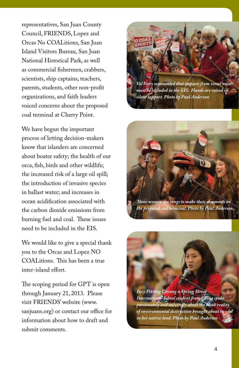representatives, San Juan County Council, FRIENDS, Lopez and Orcas No COALitions, San Juan Island Visitors Bureau, San Juan National Historical Park, as well as commercial fishermen, crabbers, scientists, ship captains, teachers, parents, students, other non-profit organizations, and faith leaders voiced concerns about the proposed coal terminal at Cherry Point.

We have begun the important process of letting decision-makers know that islanders are concerned about boater safety; the health of our orca, fish, birds and other wildlife; the increased risk of a large oil spill; the introduction of invasive species in ballast water; and increases in ocean acidification associated with the carbon dioxide emissions from burning fuel and coal. These issues need to be included in the EIS.

We would like to give a special thank you to the Orcas and Lopez NO COALitions. This has been a true inter-island effort.

The scoping period for GPT is open through January 21, 2013. Please visit FRIENDS' website (www. sanjuans.org) or contact our office for information about how to draft and submit comments.



*Val Viers commented that impacts from vessel noise must be included in the EIS. Hands are raised in silent support. Photo by Paul Anderson*



*Three women use songs to make their comments on the proposed coal terminal. Photo by Paul Anderson*

*Izzy Pikting Cheung a Spring Street International School student from China spoke passionately and movingly about the bleak reality of environmental destruction brought about by coal in her native land. Photo by Paul Anderson*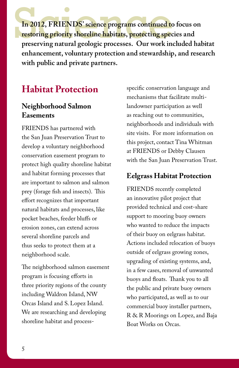In 2012, FRIENDS' science programs continued to focus on **restoring priority shoreline habitats, protecting species and preserving natural geologic processes. Our work included habitat enhancement, voluntary protection and stewardship, and research with public and private partners.**

#### **Habitat Protection**

#### **Neighborhood Salmon Easements**

FRIENDS has partnered with the San Juan Preservation Trust to develop a voluntary neighborhood conservation easement program to protect high quality shoreline habitat and habitat forming processes that are important to salmon and salmon prey (forage fish and insects). This effort recognizes that important natural habitats and processes, like pocket beaches, feeder bluffs or erosion zones, can extend across several shoreline parcels and thus seeks to protect them at a neighborhood scale.

The neighborhood salmon easement program is focusing efforts in three priority regions of the county including Waldron Island, NW Orcas Island and S. Lopez Island. We are researching and developing shoreline habitat and process-

specific conservation language and mechanisms that facilitate multilandowner participation as well as reaching out to communities, neighborhoods and individuals with site visits. For more information on this project, contact Tina Whitman at FRIENDS or Debby Clausen with the San Juan Preservation Trust.

#### **Eelgrass Habitat Protection**

FRIENDS recently completed an innovative pilot project that provided technical and cost-share support to mooring buoy owners who wanted to reduce the impacts of their buoy on eelgrass habitat. Actions included relocation of buoys outside of eelgrass growing zones, upgrading of existing systems, and, in a few cases, removal of unwanted buoys and floats. Thank you to all the public and private buoy owners who participated, as well as to our commercial buoy installer partners, R & R Moorings on Lopez, and Baja Boat Works on Orcas.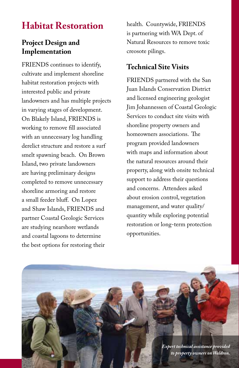### **Habitat Restoration**

#### **Project Design and Implementation**

FRIENDS continues to identify, cultivate and implement shoreline habitat restoration projects with interested public and private landowners and has multiple projects in varying stages of development. On Blakely Island, FRIENDS is working to remove fill associated with an unnecessary log handling derelict structure and restore a surf smelt spawning beach. On Brown Island, two private landowners are having preliminary designs completed to remove unnecessary shoreline armoring and restore a small feeder bluff. On Lopez and Shaw Islands, FRIENDS and partner Coastal Geologic Services are studying nearshore wetlands and coastal lagoons to determine the best options for restoring their

health. Countywide, FRIENDS is partnering with WA Dept. of Natural Resources to remove toxic creosote pilings.

#### **Technical Site Visits**

FRIENDS partnered with the San Juan Islands Conservation District and licensed engineering geologist Jim Johannessen of Coastal Geologic Services to conduct site visits with shoreline property owners and homeowners associations. The program provided landowners with maps and information about the natural resources around their property, along with onsite technical support to address their questions and concerns. Attendees asked about erosion control, vegetation management, and water quality/ quantity while exploring potential restoration or long-term protection opportunities.

> 8 *to property owners on Waldron.Expert technical assistance provided*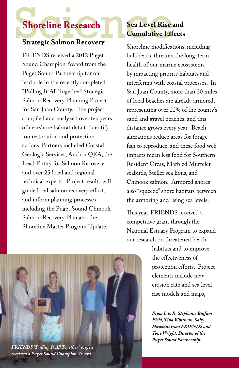#### **Strategic Salmon Recovery**

FRIENDS received a 2012 Puget Sound Champion Award from the Puget Sound Partnership for our lead role in the recently completed "Pulling It All Together" Strategic Salmon Recovery Planning Project for San Juan County. The project compiled and analyzed over ten years of nearshore habitat data to identify top restoration and protection actions. Partners included Coastal Geologic Services, Anchor QEA, the Lead Entity for Salmon Recovery and over 25 local and regional technical experts. Project results will guide local salmon recovery efforts and inform planning processes including the Puget Sound Chinook Salmon Recovery Plan and the Shoreline Master Program Update.

# Shoreline Research<br>Strategic Salmon Recovery<br>Shoreline modifications **Sea Level Rise and Cumulative Effects**

Shoreline modifications, including bulkheads, threaten the long-term health of our marine ecosystems by impacting priority habitats and interfering with coastal processes. In San Juan County, more than 20 miles of local beaches are already armored, representing over 22% of the county's sand and gravel beaches, and this distance grows every year. Beach alterations reduce areas for forage fish to reproduce, and these food web impacts mean less food for Southern Resident Orcas, Marbled Murrelet seabirds, Steller sea lions, and Chinook salmon. Armored shores also "squeeze" shore habitats between the armoring and rising sea levels.

This year, FRIENDS received a competitive grant through the National Estuary Program to expand our research on threatened beach

> habitats and to improve the effectiveness of protection efforts. Project elements include new erosion rate and sea level rise models and maps,

*From L to R: Stephanie Buffum Field, Tina Whitman, Sally Hawkins from FRIENDS and Tony Wright, Director of the Puget Sound Partnership.*



*received a Puget Sound Champion Award.*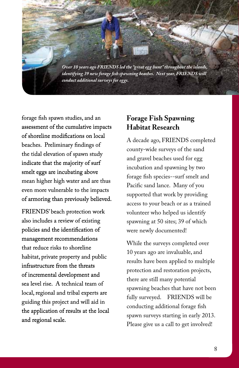*Over 10 years ago FRIENDS led the "great egg hunt" throughout the islands, identifying 39 new forage fish spawning beaches. Next year, FRIENDS will conduct additional surveys for eggs.*

forage fish spawn studies, and an assessment of the cumulative impacts of shoreline modifications on local beaches. Preliminary findings of the tidal elevation of spawn study indicate that the majority of surf smelt eggs are incubating above mean higher high water and are thus even more vulnerable to the impacts of armoring than previously believed.

FRIENDS' beach protection work also includes a review of existing policies and the identification of management recommendations that reduce risks to shoreline habitat, private property and public infrastructure from the threats of incremental development and sea level rise. A technical team of local, regional and tribal experts are guiding this project and will aid in the application of results at the local and regional scale.

#### **Forage Fish Spawning Habitat Research**

A decade ago, FRIENDS completed county-wide surveys of the sand and gravel beaches used for egg incubation and spawning by two forage fish species--surf smelt and Pacific sand lance. Many of you supported that work by providing access to your beach or as a trained volunteer who helped us identify spawning at 50 sites; 39 of which were newly documented!

While the surveys completed over 10 years ago are invaluable, and results have been applied to multiple protection and restoration projects, there are still many potential spawning beaches that have not been fully surveyed. FRIENDS will be conducting additional forage fish spawn surveys starting in early 2013. Please give us a call to get involved!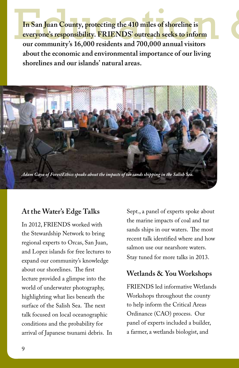In San Juan County, protecting the 410 miles of shoreline is<br>everyone's responsibility. FRIENDS' outreach seeks to inform<br>our community's 16,000 residents and 700,000 annual visitors **In San Juan County, protecting the 410 miles of shoreline is everyone's responsibility. FRIENDS' outreach seeks to inform our community's 16,000 residents and 700,000 annual visitors about the economic and environmental importance of our living shorelines and our islands' natural areas.**



#### **At the Water's Edge Talks**

In 2012, FRIENDS worked with the Stewardship Network to bring regional experts to Orcas, San Juan, and Lopez islands for free lectures to expand our community's knowledge about our shorelines. The first lecture provided a glimpse into the world of underwater photography, highlighting what lies beneath the surface of the Salish Sea. The next talk focused on local oceanographic conditions and the probability for arrival of Japanese tsunami debris. In

Sept., a panel of experts spoke about the marine impacts of coal and tar sands ships in our waters. The most recent talk identified where and how salmon use our nearshore waters. Stay tuned for more talks in 2013.

#### **Wetlands & You Workshops**

FRIENDS led informative Wetlands Workshops throughout the county to help inform the Critical Areas Ordinance (CAO) process. Our panel of experts included a builder, a farmer, a wetlands biologist, and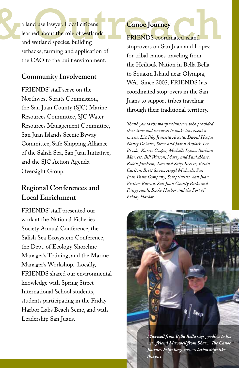a land use lawyer. Local citizens<br>learned about the role of wetlands<br>and wetland species, building<br>stop-overs on San Juan and Lopez a land use lawyer. Local citizens learned about the role of wetlands and wetland species, building setbacks, farming and application of the CAO to the built environment.

#### **Community Involvement**

FRIENDS' staff serve on the Northwest Straits Commission, the San Juan County (SJC) Marine Resources Committee, SJC Water Resources Management Committee, San Juan Islands Scenic Byway Committee, Safe Shipping Alliance of the Salish Sea, San Juan Initiative, and the SJC Action Agenda Oversight Group.

#### **Regional Conferences and Local Enrichment**

FRIENDS' staff presented our work at the National Fisheries Society Annual Conference, the Salish Sea Ecosystem Conference, the Dept. of Ecology Shoreline Manager's Training, and the Marine Manager's Workshop. Locally, FRIENDS shared our environmental knowledge with Spring Street International School students, students participating in the Friday Harbor Labs Beach Seine, and with Leadership San Juans.

#### **Canoe Journey**

FRIENDS coordinated island stop-overs on San Juan and Lopez for tribal canoes traveling from the Heiltsuk Nation in Bella Bella to Squaxin Island near Olympia, WA. Since 2003, FRIENDS has coordinated stop-overs in the San Juans to support tribes traveling through their traditional territory.

*Thank you to the many volunteers who provided their time and resources to make this event a success: Liz Illg, Jeanetta Accosta, David Hoopes, Nancy DeVaux, Steve and Joann Ashlock, Lee Brooks, Karrie Cooper, Michelle Lyons, Barbara Marrett, Bill Watson, Marty and Paul Ahart, Robin Jacobson, Tom and Sally Reeves, Kevin Carlton, Brett Snow, Angel Michaels, San Juan Pasta Company, Soroptimists, San Juan Visitors Bureau, San Juan County Parks and Fairgrounds, Roche Harbor and the Port of Friday Harbor.* 

> 124 *Journey helps forge new relationships like Maxwell from Bella Bella says goodbye to his new friend Maxwell from Shaw. The Canoe this one.*

 $\mathbf{D}_{\mathbf{C}ep}$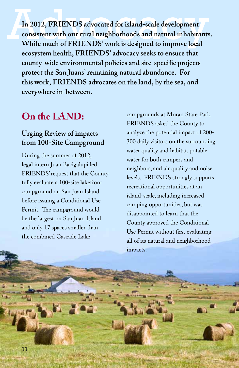In 2012, FRIENDS advocated for island-scale development<br>consistent with our rural neighborhoods and natural inhabitants<br>While much of FRIENDS' work is designed to improve local **consistent with our rural neighborhoods and natural inhabitants. ecosystem health, FRIENDS' advocacy seeks to ensure that county-wide environmental policies and site-specific projects protect the San Juans' remaining natural abundance. For this work, FRIENDS advocates on the land, by the sea, and everywhere in-between.**

### **On the LAND:**

#### **Urging Review of impacts from 100-Site Campground**

During the summer of 2012, legal intern Juan Bacigalupi led FRIENDS' request that the County fully evaluate a 100-site lakefront campground on San Juan Island before issuing a Conditional Use Permit. The campground would be the largest on San Juan Island and only 17 spaces smaller than the combined Cascade Lake

campgrounds at Moran State Park. FRIENDS asked the County to analyze the potential impact of 200- 300 daily visitors on the surrounding water quality and habitat, potable water for both campers and neighbors, and air quality and noise levels. FRIENDS strongly supports recreational opportunities at an island-scale, including increased camping opportunities, but was disappointed to learn that the County approved the Conditional Use Permit without first evaluating all of its natural and neighborhood impacts.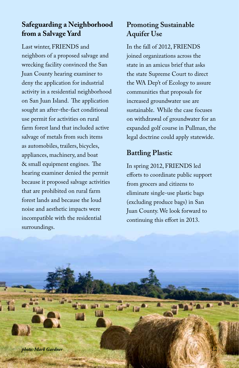# **Safeguarding a Neighborhood**<br>**from a Salvage Yard**<br>Last winter, FRIENDS and **from a Salvage Yard**

Last winter, FRIENDS and neighbors of a proposed salvage and wrecking facility convinced the San Juan County hearing examiner to deny the application for industrial activity in a residential neighborhood on San Juan Island. The application sought an after-the-fact conditional use permit for activities on rural farm forest land that included active salvage of metals from such items as automobiles, trailers, bicycles, appliances, machinery, and boat & small equipment engines. The hearing examiner denied the permit because it proposed salvage activities that are prohibited on rural farm forest lands and because the loud noise and aesthetic impacts were incompatible with the residential surroundings.

#### **Promoting Sustainable Aquifer Use**

In the fall of 2012, FRIENDS joined organizations across the state in an amicus brief that asks the state Supreme Court to direct the WA Dep't of Ecology to assure communities that proposals for increased groundwater use are sustainable. While the case focuses on withdrawal of groundwater for an expanded golf course in Pullman, the legal doctrine could apply statewide.

#### **Battling Plastic**

In spring 2012, FRIENDS led efforts to coordinate public support from grocers and citizens to eliminate single-use plastic bags (excluding produce bags) in San Juan County. We look forward to continuing this effort in 2013.

12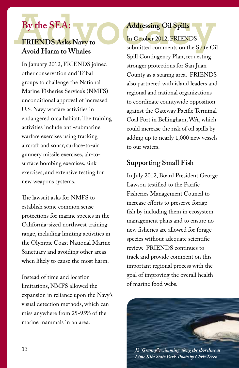# **By the SEA:**

#### **FRIENDS Asks Navy to Avoid Harm to Whales**

In January 2012, FRIENDS joined other conservation and Tribal groups to challenge the National Marine Fisheries Service's (NMFS) unconditional approval of increased U.S. Navy warfare activities in endangered orca habitat. The training activities include anti-submarine warfare exercises using tracking aircraft and sonar, surface-to-air gunnery missile exercises, air-tosurface bombing exercises, sink exercises, and extensive testing for new weapons systems.

The lawsuit asks for NMFS to establish some common sense protections for marine species in the California-sized northwest training range, including limiting activities in the Olympic Coast National Marine Sanctuary and avoiding other areas when likely to cause the most harm.

Instead of time and location limitations, NMFS allowed the expansion in reliance upon the Navy's visual detection methods, which can miss anywhere from 25-95% of the marine mammals in an area.

By the SEA:<br>
FRIENDS Asks Navy to<br>
Addressing Oil Spills<br>
In October 2012, FRIENDS<br>
submitted comments on the State Oi In October 2012, FRIENDS submitted comments on the State Oil Spill Contingency Plan, requesting stronger protections for San Juan County as a staging area. FRIENDS also partnered with island leaders and regional and national organizations to coordinate countywide opposition against the Gateway Pacific Terminal Coal Port in Bellingham, WA, which could increase the risk of oil spills by adding up to nearly 1,000 new vessels to our waters.

#### **Supporting Small Fish**

In July 2012, Board President George Lawson testified to the Pacific Fisheries Management Council to increase efforts to preserve forage fish by including them in ecosystem management plans and to ensure no new fisheries are allowed for forage species without adequate scientific review. FRIENDS continues to track and provide comment on this important regional process with the goal of improving the overall health of marine food webs.



*J2 "Granny" swimming along the shoreline at Lime Kiln State Park. Photo by Chris Teren*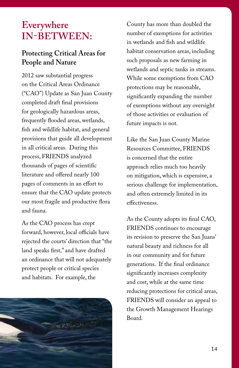### **Everywhere In-between:**

#### **Protecting Critical Areas for People and Nature**

2012 saw substantial progress on the Critical Areas Ordinance ("CAO") Update as San Juan County completed draft final provisions for geologically hazardous areas, frequently flooded areas, wetlands, fish and wildlife habitat, and general provisions that guide all development in all critical areas. During this process, FRIENDS analyzed thousands of pages of scientific literature and offered nearly 100 pages of comments in an effort to ensure that the CAO update protects our most fragile and productive flora and fauna.

As the CAO process has crept forward, however, local officials have rejected the courts' direction that "the land speaks first," and have drafted an ordinance that will not adequately protect people or critical species and habitats. For example, the



County has more than doubled the number of exemptions for activities in wetlands and fish and wildlife habitat conservation areas, including such proposals as new farming in wetlands and septic tanks in streams. While some exemptions from CAO protections may be reasonable, significantly expanding the number of exemptions without any oversight of those activities or evaluation of future impacts is not.

Like the San Juan County Marine Resources Committee, FRIENDS is concerned that the entire approach relies much too heavily on mitigation, which is expensive, a serious challenge for implementation, and often extremely limited in its effectiveness.

As the County adopts its final CAO, FRIENDS continues to encourage its revision to preserve the San Juans' natural beauty and richness for all in our community and for future generations. If the final ordinance significantly increases complexity and cost, while at the same time reducing protections for critical areas, FRIENDS will consider an appeal to the Growth Management Hearings Board.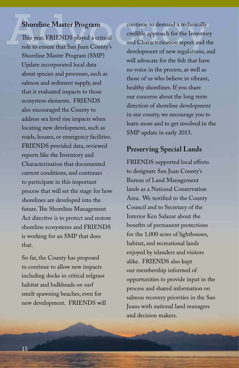This year, FRIENDS played a critical role to ensure that San Juan County's Shoreline Master Program (SMP) Update incorporated local data about species and processes, such as salmon and sediment supply, and that it evaluated impacts to those ecosystem elements. FRIENDS also encouraged the County to address sea level rise impacts when locating new development, such as roads, houses, or emergency facilities. FRIENDS provided data, reviewed reports like the Inventory and Characterization that documented current conditions, and continues to participate in this important process that will set the stage for how shorelines are developed into the future. The Shoreline Management Act directive is to protect and restore shoreline ecosystems and FRIENDS is working for an SMP that does that.

So far, the County has proposed to continue to allow new impacts including docks in critical eelgrass habitat and bulkheads on surf smelt spawning beaches, even for new development. FRIENDS will

Shoreline Master Program<br>
This year, FRIENDS played a critical<br>
role to ensure that San Juan County's<br>
and Characterization report and the development of new regulations, a continue to demand a technically credible approach for the Inventory and Characterization report and the development of new regulations, and will advocate for the fish that have no voice in the process, as well as those of us who believe in vibrant, healthy shorelines. If you share our concerns about the long term direction of shoreline development in our county, we encourage you to learn more and to get involved in the SMP update in early 2013.

#### **Preserving Special Lands**

FRIENDS supported local efforts to designate San Juan County's Bureau of Land Management lands as a National Conservation Area. We testified to the County Council and to Secretary of the Interior Ken Salazar about the benefits of permanent protections for the 1,000 acres of lighthouses, habitat, and recreational lands enjoyed by islanders and visitors alike. FRIENDS also kept our membership informed of opportunities to provide input in the process and shared information on salmon recovery priorities in the San Juans with national land managers and decision makers.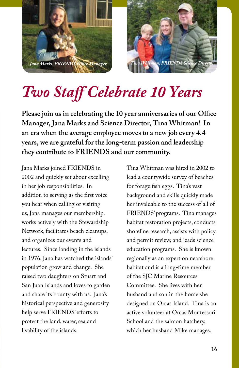



# *Two Staff Celebrate 10 Years*

**Please join us in celebrating the 10 year anniversaries of our Office Manager, Jana Marks and Science Director, Tina Whitman! In an era when the average employee moves to a new job every 4.4 years, we are grateful for the long-term passion and leadership they contribute to FRIENDS and our community.** 

Jana Marks joined FRIENDS in 2002 and quickly set about excelling in her job responsibilities. In addition to serving as the first voice you hear when calling or visiting us, Jana manages our membership, works actively with the Stewardship Network, facilitates beach cleanups, and organizes our events and lectures. Since landing in the islands in 1976, Jana has watched the islands' population grow and change. She raised two daughters on Stuart and San Juan Islands and loves to garden and share its bounty with us. Jana's historical perspective and generosity help serve FRIENDS' efforts to protect the land, water, sea and livability of the islands.

Tina Whitman was hired in 2002 to lead a countywide survey of beaches for forage fish eggs. Tina's vast background and skills quickly made her invaluable to the success of all of FRIENDS' programs. Tina manages habitat restoration projects, conducts shoreline research, assists with policy and permit review, and leads science education programs. She is known regionally as an expert on nearshore habitat and is a long-time member of the SJC Marine Resources Committee. She lives with her husband and son in the home she designed on Orcas Island. Tina is an active volunteer at Orcas Montessori School and the salmon hatchery, which her husband Mike manages.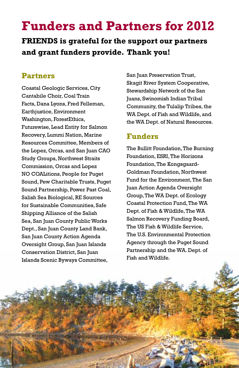# **Funders and Partners for 2012**

**FRIENDS is grateful for the support our partners and grant funders provide. Thank you!**

#### **Partners**

Coastal Geologic Services, City Cantabile Choir, Coal Train Facts, Dana Lyons, Fred Felleman, Earthjustice, Environment Washington, ForestEthics, Futurewise, Lead Entity for Salmon Recovery, Lummi Nation, Marine Resources Committee, Members of the Lopez, Orcas, and San Juan CAO Study Groups, Northwest Straits Commission, Orcas and Lopez NO COALitions, People for Puget Sound, Pew Charitable Trusts, Puget Sound Partnership, Power Past Coal, Salish Sea Biological, RE Sources for Sustainable Communities, Safe Shipping Alliance of the Salish Sea, San Juan County Public Works Dept., San Juan County Land Bank, San Juan County Action Agenda Oversight Group, San Juan Islands Conservation District, San Juan Islands Scenic Byways Committee,

San Juan Preservation Trust, Skagit River System Cooperative, Stewardship Network of the San Juans, Swinomish Indian Tribal Community, the Tulalip Tribes, the WA Dept. of Fish and Wildlife, and the WA Dept. of Natural Resources.

#### **Funders**

The Bullitt Foundation, The Burning Foundation, ESRI, The Horizons Foundation, The Kongsgaard-Goldman Foundation, Northwest Fund for the Environment, The San Juan Action Agenda Oversight Group, The WA Dept. of Ecology Coastal Protection Fund, The WA Dept. of Fish & Wildlife, The WA Salmon Recovery Funding Board, The US Fish & Wildlife Service, The U.S. Environmental Protection Agency through the Puget Sound Partnership and the WA. Dept. of Fish and Wildlife.

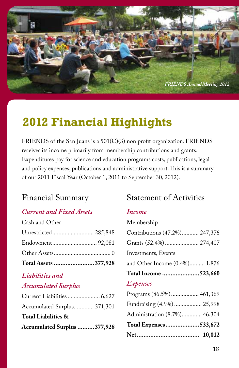

## **2012 Financial Highlights**

FRIENDS of the San Juans is a 501(C)(3) non profit organization. FRIENDS receives its income primarily from membership contributions and grants. Expenditures pay for science and education programs costs, publications, legal and policy expenses, publications and administrative support. This is a summary of our 2011 Fiscal Year (October 1, 2011 to September 30, 2012).

#### Financial Summary

#### *Current and Fixed Assets*

Cash and Other

| Total Assets 377,928 |  |
|----------------------|--|
|                      |  |
|                      |  |
| Unrestricted 285,848 |  |

#### *Liabilities and*

#### *Accumulated Surplus*

| Accumulated Surplus 377,928 |  |
|-----------------------------|--|
| Total Liabilities &         |  |
| Accumulated Surplus 371,301 |  |
|                             |  |

#### Statement of Activities

#### *Income*

| Membership                    |  |
|-------------------------------|--|
| Contributions (47.2%) 247,376 |  |
| Grants (52.4%)  274,407       |  |
| Investments, Events           |  |
| and Other Income (0.4%) 1,876 |  |
| Total Income 523,660          |  |
| Expenses                      |  |
| Programs (86.5%) 461,369      |  |
| Fundraising (4.9%)  25,998    |  |
| Administration (8.7%) 46,304  |  |
| Total Expenses533,672         |  |
|                               |  |
|                               |  |